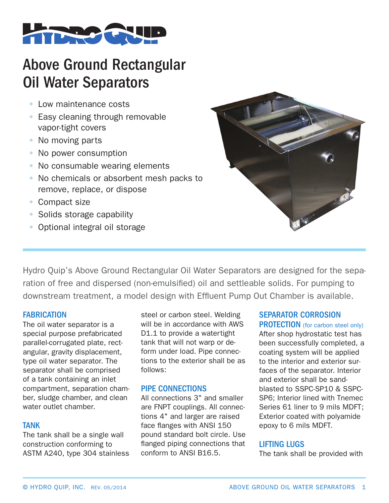

# Above Ground Rectangular Oil Water Separators

- Low maintenance costs
- Easy cleaning through removable vapor-tight covers
- No moving parts
- No power consumption
- No consumable wearing elements
- No chemicals or absorbent mesh packs to remove, replace, or dispose
- Compact size
- Solids storage capability
- Optional integral oil storage



Hydro Quip's Above Ground Rectangular Oil Water Separators are designed for the separation of free and dispersed (non-emulsified) oil and settleable solids. For pumping to downstream treatment, a model design with Effluent Pump Out Chamber is available.

## **FABRICATION**

The oil water separator is a special purpose prefabricated parallel-corrugated plate, rectangular, gravity displacement, type oil water separator. The separator shall be comprised of a tank containing an inlet compartment, separation chamber, sludge chamber, and clean water outlet chamber.

#### TANK

The tank shall be a single wall construction conforming to ASTM A240, type 304 stainless

steel or carbon steel. Welding will be in accordance with AWS D1.1 to provide a watertight tank that will not warp or deform under load. Pipe connections to the exterior shall be as follows:

## PIPE CONNECTIONS

All connections 3" and smaller are FNPT couplings. All connections 4" and larger are raised face flanges with ANSI 150 pound standard bolt circle. Use flanged piping connections that conform to ANSI B16.5.

## SEPARATOR CORROSION

PROTECTION (for carbon steel only) After shop hydrostatic test has been successfully completed, a coating system will be applied to the interior and exterior surfaces of the separator. Interior and exterior shall be sandblasted to SSPC-SP10 & SSPC-SP6; Interior lined with Tnemec Series 61 liner to 9 mils MDFT; Exterior coated with polyamide epoxy to 6 mils MDFT.

## LIFTING LUGS

The tank shall be provided with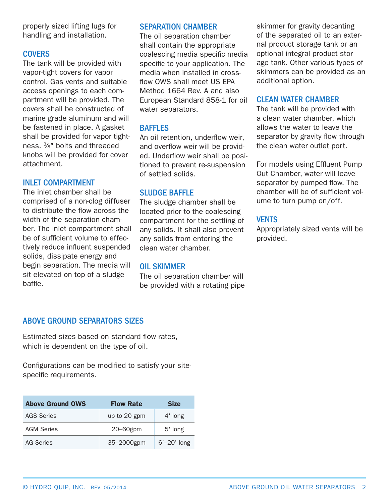properly sized lifting lugs for handling and installation.

#### **COVERS**

The tank will be provided with vapor-tight covers for vapor control. Gas vents and suitable access openings to each compartment will be provided. The covers shall be constructed of marine grade aluminum and will be fastened in place. A gasket shall be provided for vapor tightness. 3⁄8" bolts and threaded knobs will be provided for cover attachment.

#### INLET COMPARTMENT

The inlet chamber shall be comprised of a non-clog diffuser to distribute the flow across the width of the separation chamber. The inlet compartment shall be of sufficient volume to effectively reduce influent suspended solids, dissipate energy and begin separation. The media will sit elevated on top of a sludge baffle.

#### SEPARATION CHAMBER

The oil separation chamber shall contain the appropriate coalescing media specific media specific to your application. The media when installed in crossflow OWS shall meet US EPA Method 1664 Rev. A and also European Standard 858-1 for oil water separators.

#### **BAFFLES**

An oil retention, underflow weir, and overflow weir will be provided. Underflow weir shall be positioned to prevent re-suspension of settled solids.

#### SLUDGE BAFFLE

The sludge chamber shall be located prior to the coalescing compartment for the settling of any solids. It shall also prevent any solids from entering the clean water chamber.

#### OIL SKIMMER

The oil separation chamber will be provided with a rotating pipe skimmer for gravity decanting of the separated oil to an external product storage tank or an optional integral product storage tank. Other various types of skimmers can be provided as an additional option.

#### CLEAN WATER CHAMBER

The tank will be provided with a clean water chamber, which allows the water to leave the separator by gravity flow through the clean water outlet port.

For models using Effluent Pump Out Chamber, water will leave separator by pumped flow. The chamber will be of sufficient volume to turn pump on/off.

#### VENTS

Appropriately sized vents will be provided.

#### ABOVE GROUND SEPARATORS SIZES

Estimated sizes based on standard flow rates, which is dependent on the type of oil.

Configurations can be modified to satisfy your sitespecific requirements.

| <b>Above Ground OWS</b> | <b>Flow Rate</b> | <b>Size</b>    |
|-------------------------|------------------|----------------|
| <b>AGS Series</b>       | up to 20 gpm     | 4' long        |
| <b>AGM Series</b>       | $20 - 60$ gpm    | 5' long        |
| AG Series               | 35-2000gpm       | $6'$ -20' long |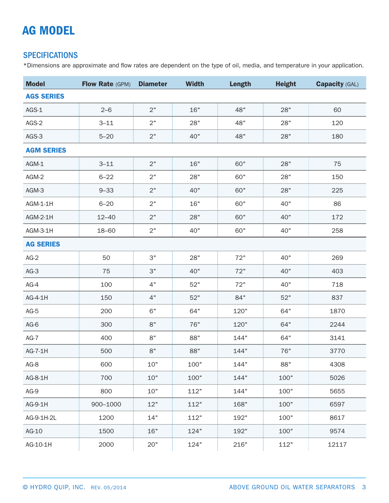## AG MODEL

## **SPECIFICATIONS**

\*Dimensions are approximate and flow rates are dependent on the type of oil, media, and temperature in your application.

| <b>Model</b>      | Flow Rate (GPM) | <b>Diameter</b> | <b>Width</b> | Length     | <b>Height</b> | <b>Capacity (GAL)</b> |  |  |  |
|-------------------|-----------------|-----------------|--------------|------------|---------------|-----------------------|--|--|--|
| <b>AGS SERIES</b> |                 |                 |              |            |               |                       |  |  |  |
| AGS-1             | $2 - 6$         | 2"              | 16"          | 48"<br>28" |               | 60                    |  |  |  |
| AGS-2             | $3 - 11$        | 2"              | 28"          | 48"<br>28" |               | 120                   |  |  |  |
| AGS-3             | $5 - 20$        | 2"              | 40"          | 48"        | 28"           | 180                   |  |  |  |
| <b>AGM SERIES</b> |                 |                 |              |            |               |                       |  |  |  |
| AGM-1             | $3 - 11$        | 2"              | 16"          | 60"        | 28"           | 75                    |  |  |  |
| AGM-2             | $6 - 22$        | 2"              | 28"          | 60"        | 28"           | 150                   |  |  |  |
| AGM-3             | $9 - 33$        | 2"              | 40"          | 60"        | 28"           | 225                   |  |  |  |
| AGM-1-1H          | $6 - 20$        | 2"              | 16"          | 60"        | 40"           | 86                    |  |  |  |
| AGM-2-1H          | $12 - 40$       | 2"              | 28"          | 60"        | 40"           | 172                   |  |  |  |
| AGM-3-1H          | 18-60           | 2"              | 40"          | 60"        | 40"           | 258                   |  |  |  |
| <b>AG SERIES</b>  |                 |                 |              |            |               |                       |  |  |  |
| $AG-2$            | 50              | 3"              | 28"          | 72"        | 40"           | 269                   |  |  |  |
| $AG-3$            | 75              | 3"              | 40"          | 72"        | 40"           | 403                   |  |  |  |
| $AG-4$            | 100             | 4"              | 52"          | 72"        | 40"           | 718                   |  |  |  |
| AG-4-1H           | 150             | 4"              | 52"          | 84"        | 52"           | 837                   |  |  |  |
| $AG-5$            | 200             | 6"              | 64"          | 120"       | 64"           | 1870                  |  |  |  |
| $AG-6$            | 300             | 8"              | 76"          | 120"       | 64"           | 2244                  |  |  |  |
| $AG-7$            | 400             | 8"              | 88"          | 144"       | 64"           | 3141                  |  |  |  |
| AG-7-1H           | 500             | 8"              | 88"          | 144"       | 76"           | 3770                  |  |  |  |
| $AG-8$            | 600             | 10"             | 100"         | 144"       | 88"           | 4308                  |  |  |  |
| AG-8-1H           | 700             | 10"             | 100"         | 144"       | 100"          | 5026                  |  |  |  |
| $AG-9$            | 800             | 10"             | 112"         | 144"       | 100"          | 5655                  |  |  |  |
| AG-9-1H           | 900-1000        | 12"             | 112"         | 168"       | 100"          | 6597                  |  |  |  |
| AG-9-1H-2L        | 1200            | 14"             | 112"         | 192"       | 100"          | 8617                  |  |  |  |
| AG-10             | 1500            | 16"             | 124"         | 192"       | 100"          | 9574                  |  |  |  |
| AG-10-1H          | 2000            | 20"             | 124"         | 216"       | 112"          | 12117                 |  |  |  |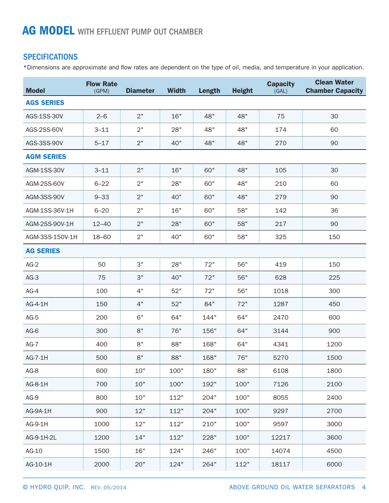## **SPECIFICATIONS**

\*Dimensions are approximate and flow rates are dependent on the type of oil, media, and temperature in your application.

| <b>Model</b>       | <b>Flow Rate</b><br>(GPM) | <b>Diameter</b> | <b>Width</b> | <b>Length</b> | <b>Height</b> | <b>Capacity</b><br>(GAL) | <b>Clean Water</b><br><b>Chamber Capacity</b> |  |
|--------------------|---------------------------|-----------------|--------------|---------------|---------------|--------------------------|-----------------------------------------------|--|
| <b>AGS SERIES</b>  |                           |                 |              |               |               |                          |                                               |  |
| AGS-1SS-30V        | $2 - 6$                   | 2"              | 16"          | 48"           | 48"           | 75                       | 30                                            |  |
| AGS-2SS-60V        | $3 - 11$                  | 2"              | 28"          | 48"           | 48"           | 174                      | 60                                            |  |
| AGS-3SS-90V        | $5 - 17$                  | 2"              | 40"          | 48"           | 48"           | 270                      | 90                                            |  |
| <b>AGM SERIES</b>  |                           |                 |              |               |               |                          |                                               |  |
| <b>AGM-1SS-30V</b> | $3 - 11$                  | 2"              | 16"          | 60"           | 48"           | 105                      | 30                                            |  |
| AGM-2SS-60V        | $6 - 22$                  | 2"              | 28"          | 60"           | 48"           | 210                      | 60                                            |  |
| <b>AGM-3SS-90V</b> | $9 - 33$                  | 2"              | 40"          | 60"           | 48"           | 279                      | 90                                            |  |
| AGM-1SS-36V-1H     | $6 - 20$                  | 2"              | 16"          | 60"           | 58"           | 142                      | 36                                            |  |
| AGM-2SS-90V-1H     | $12 - 40$                 | 2"              | 28"          | 60"           | 58"           | 217                      | 90                                            |  |
| AGM-3SS-150V-1H    | 18-60                     | 2"              | 40"          | 60"           | 58"           | 325                      | 150                                           |  |
| <b>AG SERIES</b>   |                           |                 |              |               |               |                          |                                               |  |
| $AG-2$             | 50                        | 3"              | 28"          | 72"           | 56"           | 419                      | 150                                           |  |
| $AG-3$             | 75                        | 3"              | 40"          | 72"           | 56"           | 628                      | 225                                           |  |
| $AG-4$             | 100                       | 4"              | 52"          | 72"           | 56"           | 1018                     | 300                                           |  |
| AG-4-1H            | 150                       | 4"              | 52"          | 84"           | 72"           | 1287                     | 450                                           |  |
| $AG-5$             | 200                       | 6"              | 64"          | 144"          | 64"           | 2470                     | 600                                           |  |
| $AG-6$             | 300                       | 8"              | 76"          | 156"          | 64"           | 3144                     | 900                                           |  |
| $AG-7$             | 400                       | 8"              | 88"          | 168"          | 64"           | 4341                     | 1200                                          |  |
| AG-7-1H            | 500                       | 8"              | 88"          | 168"          | 76"           | 5270                     | 1500                                          |  |
| $AG-8$             | 600                       | 10"             | 100"         | 180"          | 88"           | 6108                     | 1800                                          |  |
| AG-8-1H            | 700                       | 10"             | 100"         | 192"          | 100"          | 7126                     | 2100                                          |  |
| $AG-9$             | 800                       | 10"             | 112"         | 204"          | 100"          | 8055                     | 2400                                          |  |
| AG-9A-1H           | 900                       | 12"             | 112"         | 204"          | 100"          | 9297                     | 2700                                          |  |
| AG-9-1H            | 1000                      | 12"             | 112"         | 210"          | 100"          | 9597                     | 3000                                          |  |
| AG-9-1H-2L         | 1200                      | 14"             | 112"         | 228"          | 100"          | 12217                    | 3600                                          |  |
| AG-10              | 1500                      | 16"             | 124"         | 246"          | 100"          | 14074                    | 4500                                          |  |
| AG-10-1H           | 2000                      | 20"             | 124"         | 264"          | 112"          | 18117                    | 6000                                          |  |